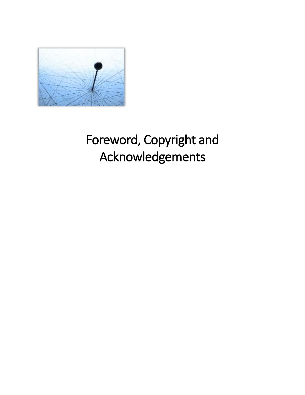

# Foreword, Copyright and Acknowledgements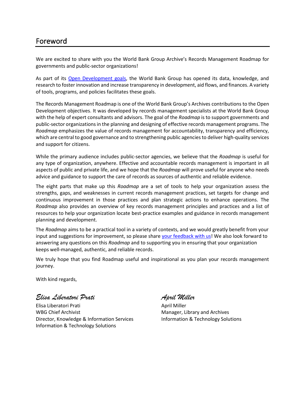### Foreword

We are excited to share with you the World Bank Group Archive's Records Management Roadmap for governments and public-sector organizations!

As part of its [Open Development goals,](https://www.worldbank.org/en/who-we-are) the World Bank Group has opened its data, knowledge, and research to foster innovation and increase transparency in development, aid flows, and finances. A variety of tools, programs, and policies facilitates these goals.

The Records Management Roadmap is one of the World Bank Group's Archives contributions to the Open Development objectives. It was developed by records management specialists at the World Bank Group with the help of expert consultants and advisors. The goal of the *Roadmap* is to support governments and public-sector organizationsin the planning and designing of effective records management programs. The *Roadmap* emphasizes the value of records management for accountability, transparency and efficiency, which are central to good governance and to strengthening public agencies to deliver high-quality services and support for citizens.

While the primary audience includes public-sector agencies, we believe that the *Roadmap* is useful for any type of organization, anywhere. Effective and accountable records management is important in all aspects of public and private life, and we hope that the *Roadmap* will prove useful for anyone who needs advice and guidance to support the care of records as sources of authentic and reliable evidence.

The eight parts that make up this *Roadmap* are a set of tools to help your organization assess the strengths, gaps, and weaknesses in current records management practices, set targets for change and continuous improvement in those practices and plan strategic actions to enhance operations. The *Roadmap* also provides an overview of key records management principles and practices and a list of resources to help your organization locate best-practice examples and guidance in records management planning and development.

The *Roadmap* aims to be a practical tool in a variety of contexts, and we would greatly benefit from your input and suggestions for improvement, so please share [your feedback with us!](mailto:archivesRMguidelines@worldbank.org) We also look forward to answering any questions on this *Roadmap* and to supporting you in ensuring that your organization keeps well-managed, authentic, and reliable records.

We truly hope that you find Roadmap useful and inspirational as you plan your records management journey.

With kind regards,

*Elisa Liberatori Prati* 

Elisa Liberatori Prati WBG Chief Archivist Director, Knowledge & Information Services Information & Technology Solutions

*April Miller*

April Miller Manager, Library and Archives Information & Technology Solutions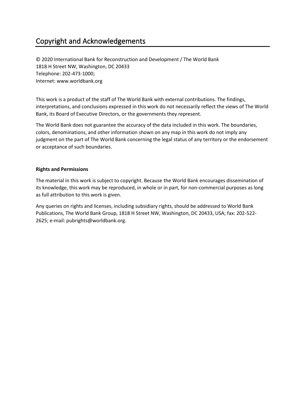# Copyright and Acknowledgements

© 2020 International Bank for Reconstruction and Development / The World Bank 1818 H Street NW, Washington, DC 20433 Telephone: 202-473-1000; Internet: www.worldbank.org

This work is a product of the staff of The World Bank with external contributions. The findings, interpretations, and conclusions expressed in this work do not necessarily reflect the views of The World Bank, its Board of Executive Directors, or the governments they represent.

The World Bank does not guarantee the accuracy of the data included in this work. The boundaries, colors, denominations, and other information shown on any map in this work do not imply any judgment on the part of The World Bank concerning the legal status of any territory or the endorsement or acceptance of such boundaries.

#### **Rights and Permissions**

The material in this work is subject to copyright. Because the World Bank encourages dissemination of its knowledge, this work may be reproduced, in whole or in part, for non-commercial purposes as long as full attribution to this work is given.

Any queries on rights and licenses, including subsidiary rights, should be addressed to World Bank Publications, The World Bank Group, 1818 H Street NW, Washington, DC 20433, USA; fax: 202-522- 2625; e-mail: pubrights@worldbank.org.